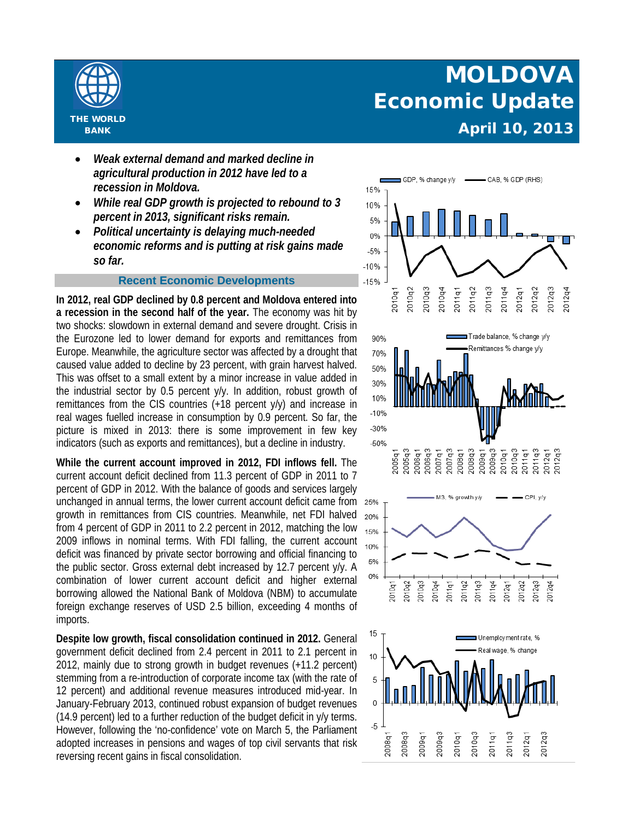

## • *Weak external demand and marked decline in*

- *agricultural production in 2012 have led to a recession in Moldova.*
- *While real GDP growth is projected to rebound to 3 percent in 2013, significant risks remain.*
- *Political uncertainty is delaying much-needed economic reforms and is putting at risk gains made so far.*

## **Recent Economic Developments**

**In 2012, real GDP declined by 0.8 percent and Moldova entered into a recession in the second half of the year.** The economy was hit by two shocks: slowdown in external demand and severe drought. Crisis in the Eurozone led to lower demand for exports and remittances from Europe. Meanwhile, the agriculture sector was affected by a drought that caused value added to decline by 23 percent, with grain harvest halved. This was offset to a small extent by a minor increase in value added in the industrial sector by 0.5 percent y/y. In addition, robust growth of remittances from the CIS countries (+18 percent y/y) and increase in real wages fuelled increase in consumption by 0.9 percent. So far, the picture is mixed in 2013: there is some improvement in few key indicators (such as exports and remittances), but a decline in industry.

**While the current account improved in 2012, FDI inflows fell.** The current account deficit declined from 11.3 percent of GDP in 2011 to 7 percent of GDP in 2012. With the balance of goods and services largely unchanged in annual terms, the lower current account deficit came from growth in remittances from CIS countries. Meanwhile, net FDI halved from 4 percent of GDP in 2011 to 2.2 percent in 2012, matching the low 2009 inflows in nominal terms. With FDI falling, the current account deficit was financed by private sector borrowing and official financing to the public sector. Gross external debt increased by 12.7 percent y/y. A combination of lower current account deficit and higher external borrowing allowed the National Bank of Moldova (NBM) to accumulate foreign exchange reserves of USD 2.5 billion, exceeding 4 months of imports.

**Despite low growth, fiscal consolidation continued in 2012.** General government deficit declined from 2.4 percent in 2011 to 2.1 percent in 2012, mainly due to strong growth in budget revenues (+11.2 percent) stemming from a re-introduction of corporate income tax (with the rate of 12 percent) and additional revenue measures introduced mid-year. In January-February 2013, continued robust expansion of budget revenues (14.9 percent) led to a further reduction of the budget deficit in y/y terms. However, following the 'no-confidence' vote on March 5, the Parliament adopted increases in pensions and wages of top civil servants that risk reversing recent gains in fiscal consolidation.









## **MOLDOVA Economic Update** *April 10, 2013*